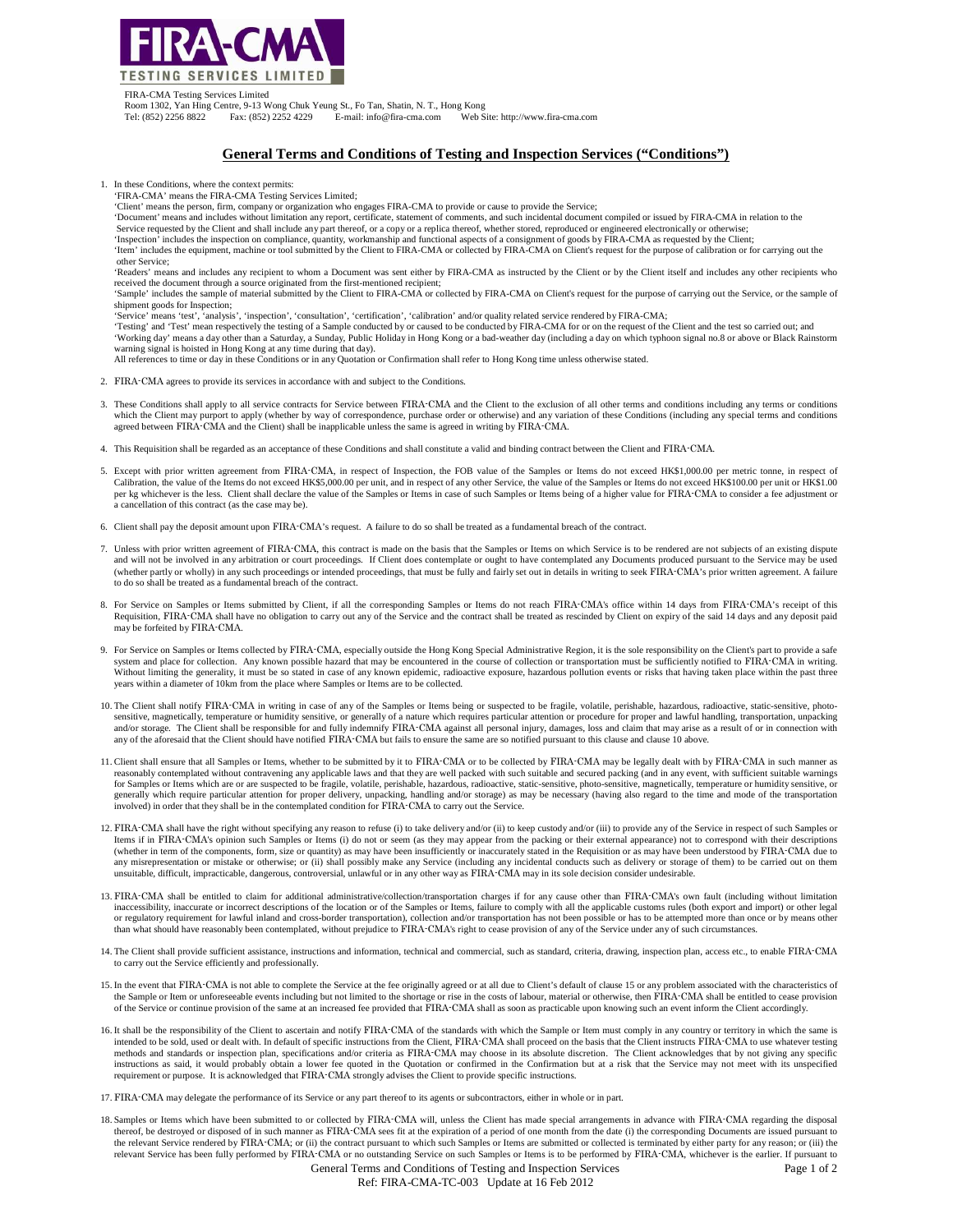

FIRA-CMA Testing Services Limited

Room 1302, Yan Hing Centre, 9-13 Wong Chuk Yeung St., Fo Tan, Shatin, N. T., Hong Kong Web Site: http://www.fira-cma.com

## **General Terms and Conditions of Testing and Inspection Services ("Conditions")**

- 1. In these Conditions, where the context permits:
- 'FIRA-CMA' means the FIRA-CMA Testing Services Limited;
- 'Client' means the person, firm, company or organization who engages FIRA-CMA to provide or cause to provide the Service;
- 'Document' means and includes without limitation any report, certificate, statement of comments, and such incidental document compiled or issued by FIRA-CMA in relation to the
- Service requested by the Client and shall include any part thereof, or a copy or a replica thereof, whether stored, reproduced or engineered electronically or otherwise; 'Inspection' includes the inspection on compliance, quantity, workmanship and functional aspects of a consignment of goods by FIRA-CMA as requested by the Client;
- 'Item' includes the equipment, machine or tool submitted by the Client to FIRA-CMA or collected by FIRA-CMA on Client's request for the purpose of calibration or for carrying out the other Service;
- 'Readers' means and includes any recipient to whom a Document was sent either by FIRA-CMA as instructed by the Client or by the Client itself and includes any other recipients who received the document through a source originated from the first-mentioned recipient;
- 'Sample' includes the sample of material submitted by the Client to FIRA-CMA or collected by FIRA-CMA on Client's request for the purpose of carrying out the Service, or the sample of shipment goods for Inspection;
- 'Service' means 'test', 'analysis', 'inspection', 'consultation', 'certification', 'calibration' and/or quality related service rendered by FIRA-CMA;

'Testing' and 'Test' mean respectively the testing of a Sample conducted by or caused to be conducted by FIRA-CMA for or on the request of the Client and the test so carried out; and<br>'Working day' means a day other than a warning signal is hoisted in Hong Kong at any time during that day).

- All references to time or day in these Conditions or in any Quotation or Confirmation shall refer to Hong Kong time unless otherwise stated.
- 2. FIRA-CMA agrees to provide its services in accordance with and subject to the Conditions.
- 3. These Conditions shall apply to all service contracts for Service between FIRA-CMA and the Client to the exclusion of all other terms and conditions including any terms or conditions which the Client may purport to apply (whether by way of correspondence, purchase order or otherwise) and any variation of these Conditions (including any special terms and conditions<br>agreed between FIRA-CMA and the Client
- 4. This Requisition shall be regarded as an acceptance of these Conditions and shall constitute a valid and binding contract between the Client and FIRA-CMA.
- 5. Except with prior written agreement from FIRA-CMA, in respect of Inspection, the FOB value of the Samples or Items do not exceed HK\$1,000.00 per metric tonne, in respect of Calibration, the value of the Items do not exc per kg whichever is the less. Client shall declare the value of the Samples or Items in case of such Samples or Items being of a higher value for FIRA-CMA to consider a fee adjustment or a cancellation of this contract (as the case may be).
- 6. Client shall pay the deposit amount upon FIRA-CMA's request. A failure to do so shall be treated as a fundamental breach of the contract.
- 7. Unless with prior written agreement of FIRA-CMA, this contract is made on the basis that the Samples or Items on which Service is to be rendered are not subjects of an existing dispute and will not be involved in any arbitration or court proceedings. If Client does contemplate or ought to have contemplated any Documents produced pursuant to the Service may be used (whether partly or wholly) in any such proceedings or intended proceedings, that must be fully and fairly set out in details in writing to seek FIRA-CMA's prior written agreement. A failure to do so shall be treated as a fundamental breach of the contract.
- 8. For Service on Samples or Items submitted by Client, if all the corresponding Samples or Items do not reach FIRA-CMA's office within 14 days from FIRA-CMA's receipt of this Requisition, FIRA-CMA shall have no obligation to carry out any of the Service and the contract shall be treated as rescinded by Client on expiry of the said 14 days and any deposit paid may be forfeited by FIRA-CMA.
- 9. For Service on Samples or Items collected by FIRA-CMA, especially outside the Hong Kong Special Administrative Region, it is the sole responsibility on the Client's part to provide a safe system and place for collection. Any known possible hazard that may be encountered in the course of collection or transportation must be sufficiently notified to FIRA-CMA in writing.<br>Without limiting the generality, it mus years within a diameter of 10km from the place where Samples or Items are to be collected.
- 10. The Client shall notify FIRA-CMA in writing in case of any of the Samples or Items being or suspected to be fragile, volatile, perishable, hazardous, radioactive, static-sensitive, photosensitive, magnetically, temperature or humidity sensitive, or generally of a nature which requires particular attention or procedure for proper and lawful handling, transportation, unpacking<br>and/or storage. The Client sha any of the aforesaid that the Client should have notified FIRA-CMA but fails to ensure the same are so notified pursuant to this clause and clause 10 above.
- 11. Client shall ensure that all Samples or Items, whether to be submitted by it to FIRA-CMA or to be collected by FIRA-CMA may be legally dealt with by FIRA-CMA in such manner as reasonably contemplated without contraveni for Samples or Items which are or are suspected to be fragile, volatile, perishable, hazardous, radioactive, static-sensitive, photo-sensitive, magnetically, temperature or humidity sensitive, or generally which require particular attention for proper delivery, unpacking, handling and/or storage) as may be necessary (having also regard to the time and mode of the transportation involved) in order that they shall be in the contemplated condition for FIRA-CMA to carry out the Service.
- 12. FIRA-CMA shall have the right without specifying any reason to refuse (i) to take delivery and/or (ii) to keep custody and/or (iii) to provide any of the Service in respect of such Samples or Items if in FIRA-CMA's opinion such Samples or Items (i) do not or seem (as they may appear from the packing or their external appearance) not to correspond with their descriptions (whether in term of the components, form, size or quantity) as may have been insufficiently or inaccurately stated in the Requisition or as may have been understood by FIRA-CMA due to any misrepresentation or mistake or otherwise; or (ii) shall possibly make any Service (including any incidental conducts such as delivery or storage of them) to be carried out on them unsuitable, difficult, impracticable, dangerous, controversial, unlawful or in any other way as FIRA-CMA may in its sole decision consider undesirable.
- 13. FIRA-CMA shall be entitled to claim for additional administrative/collection/transportation charges if for any cause other than FIRA-CMA's own fault (including without limitation inaccessibility, inaccurate or incorrect descriptions of the location or of the Samples or Items, failure to comply with all the applicable customs rules (both export and import) or other legal or regulatory requirement for lawful inland and cross-border transportation), collection and/or transportation has not been possible or has to be attempted more than once or by means other<br>than what should have reasonably
- 14. The Client shall provide sufficient assistance, instructions and information, technical and commercial, such as standard, criteria, drawing, inspection plan, access etc., to enable FIRA-CMA to carry out the Service efficiently and professionally.
- 15. In the event that FIRA-CMA is not able to complete the Service at the fee originally agreed or at all due to Client's default of clause 15 or any problem associated with the characteristics of the Sample or Item or unforeseeable events including but not limited to the shortage or rise in the costs of labour, material or otherwise, then FIRA-CMA shall be entitled to cease provision of the Service or continue provision of the same at an increased fee provided that FIRA-CMA shall as soon as practicable upon knowing such an event inform the Client accordingly.
- 16. It shall be the responsibility of the Client to ascertain and notify FIRA-CMA of the standards with which the Sample or Item must comply in any country or territory in which the same is intended to be sold, used or dealt with. In default of specific instructions from the Client, FIRA-CMA shall proceed on the basis that the Client instructs FIRA-CMA to use whatever testing methods and standards or inspection plan, specifications and/or criteria as FIRA-CMA may choose in its absolute discretion. The Client acknowledges that by not giving any specific<br>instructions as said, it would probably ob requirement or purpose. It is acknowledged that FIRA-CMA strongly advises the Client to provide specific instructions.
- 17. FIRA-CMA may delegate the performance of its Service or any part thereof to its agents or subcontractors, either in whole or in part.
- 18. Samples or Items which have been submitted to or collected by FIRA-CMA will, unless the Client has made special arrangements in advance with FIRA-CMA regarding the disposal thereof, be destroyed or disposed of in such manner as FIRA-CMA sees fit at the expiration of a period of one month from the date (i) the corresponding Documents are issued pursuant to the relevant Service rendered by FIRA-CMA; or (ii) the contract pursuant to which such Samples or Items are submitted or collected is terminated by either party for any reason; or (iii) the<br>relevant Service has been fully